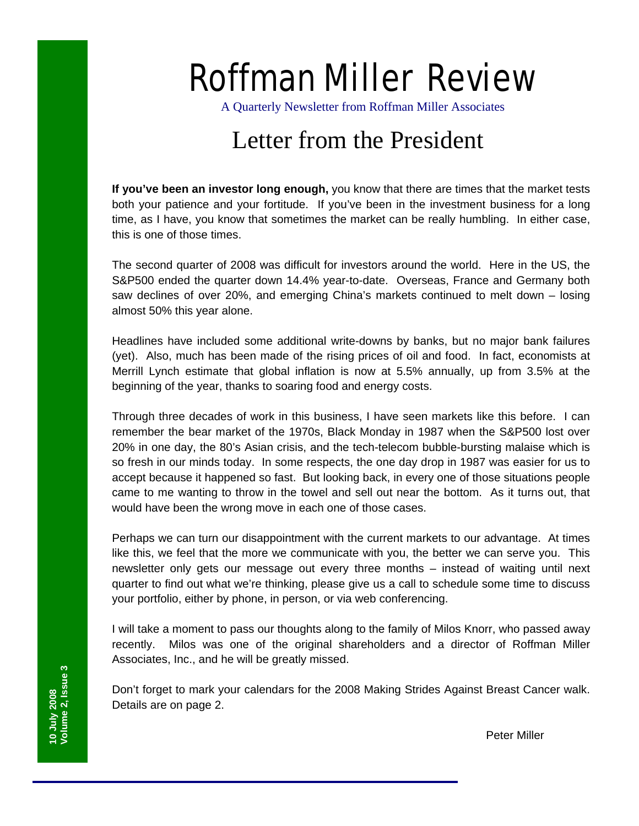# Roffman Miller Review

A Quarterly Newsletter from Roffman Miller Associates

## Letter from the President

**If you've been an investor long enough,** you know that there are times that the market tests both your patience and your fortitude. If you've been in the investment business for a long time, as I have, you know that sometimes the market can be really humbling. In either case, this is one of those times.

The second quarter of 2008 was difficult for investors around the world. Here in the US, the S&P500 ended the quarter down 14.4% year-to-date. Overseas, France and Germany both saw declines of over 20%, and emerging China's markets continued to melt down – losing almost 50% this year alone.

Headlines have included some additional write-downs by banks, but no major bank failures (yet). Also, much has been made of the rising prices of oil and food. In fact, economists at Merrill Lynch estimate that global inflation is now at 5.5% annually, up from 3.5% at the beginning of the year, thanks to soaring food and energy costs.

Through three decades of work in this business, I have seen markets like this before. I can remember the bear market of the 1970s, Black Monday in 1987 when the S&P500 lost over 20% in one day, the 80's Asian crisis, and the tech-telecom bubble-bursting malaise which is so fresh in our minds today. In some respects, the one day drop in 1987 was easier for us to accept because it happened so fast. But looking back, in every one of those situations people came to me wanting to throw in the towel and sell out near the bottom. As it turns out, that would have been the wrong move in each one of those cases.

Perhaps we can turn our disappointment with the current markets to our advantage. At times like this, we feel that the more we communicate with you, the better we can serve you. This newsletter only gets our message out every three months – instead of waiting until next quarter to find out what we're thinking, please give us a call to schedule some time to discuss your portfolio, either by phone, in person, or via web conferencing.

I will take a moment to pass our thoughts along to the family of Milos Knorr, who passed away recently. Milos was one of the original shareholders and a director of Roffman Miller Associates, Inc., and he will be greatly missed.

Don't forget to mark your calendars for the 2008 Making Strides Against Breast Cancer walk. Details are on page 2.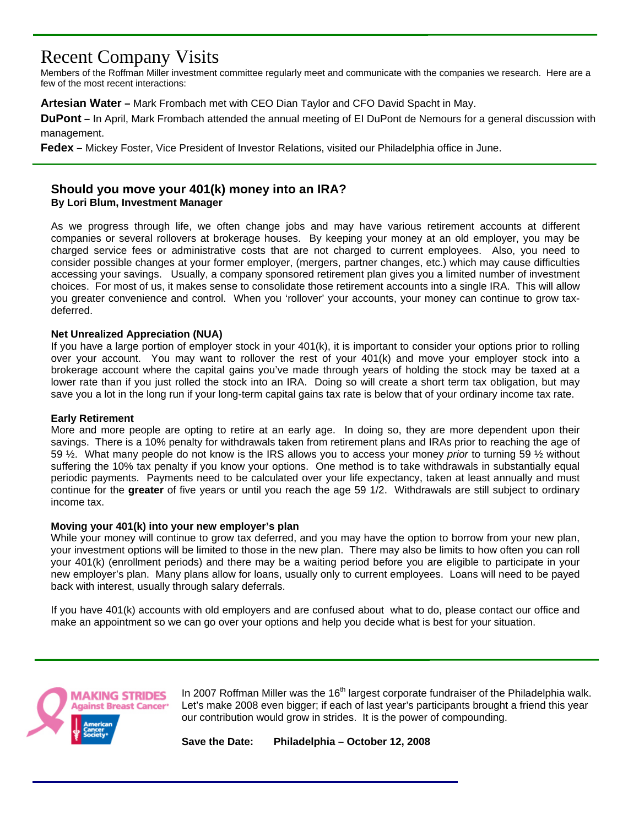### Recent Company Visits

Members of the Roffman Miller investment committee regularly meet and communicate with the companies we research. Here are a few of the most recent interactions:

**Artesian Water –** Mark Frombach met with CEO Dian Taylor and CFO David Spacht in May.

**DuPont –** In April, Mark Frombach attended the annual meeting of EI DuPont de Nemours for a general discussion with management.

**Fedex –** Mickey Foster, Vice President of Investor Relations, visited our Philadelphia office in June.

#### **Should you move your 401(k) money into an IRA? By Lori Blum, Investment Manager**

As we progress through life, we often change jobs and may have various retirement accounts at different companies or several rollovers at brokerage houses. By keeping your money at an old employer, you may be charged service fees or administrative costs that are not charged to current employees. Also, you need to consider possible changes at your former employer, (mergers, partner changes, etc.) which may cause difficulties accessing your savings. Usually, a company sponsored retirement plan gives you a limited number of investment choices. For most of us, it makes sense to consolidate those retirement accounts into a single IRA. This will allow you greater convenience and control. When you 'rollover' your accounts, your money can continue to grow taxdeferred.

#### **Net Unrealized Appreciation (NUA)**

If you have a large portion of employer stock in your 401(k), it is important to consider your options prior to rolling over your account. You may want to rollover the rest of your 401(k) and move your employer stock into a brokerage account where the capital gains you've made through years of holding the stock may be taxed at a lower rate than if you just rolled the stock into an IRA. Doing so will create a short term tax obligation, but may save you a lot in the long run if your long-term capital gains tax rate is below that of your ordinary income tax rate.

#### **Early Retirement**

More and more people are opting to retire at an early age. In doing so, they are more dependent upon their savings. There is a 10% penalty for withdrawals taken from retirement plans and IRAs prior to reaching the age of 59 ½. What many people do not know is the IRS allows you to access your money *prior* to turning 59 ½ without suffering the 10% tax penalty if you know your options. One method is to take withdrawals in substantially equal periodic payments. Payments need to be calculated over your life expectancy, taken at least annually and must continue for the **greater** of five years or until you reach the age 59 1/2. Withdrawals are still subject to ordinary income tax.

#### **Moving your 401(k) into your new employer's plan**

While your money will continue to grow tax deferred, and you may have the option to borrow from your new plan, your investment options will be limited to those in the new plan. There may also be limits to how often you can roll your 401(k) (enrollment periods) and there may be a waiting period before you are eligible to participate in your new employer's plan. Many plans allow for loans, usually only to current employees. Loans will need to be payed back with interest, usually through salary deferrals.

If you have 401(k) accounts with old employers and are confused about what to do, please contact our office and make an appointment so we can go over your options and help you decide what is best for your situation.



In 2007 Roffman Miller was the  $16<sup>th</sup>$  largest corporate fundraiser of the Philadelphia walk. Let's make 2008 even bigger; if each of last year's participants brought a friend this year our contribution would grow in strides. It is the power of compounding.

**Save the Date: Philadelphia – October 12, 2008**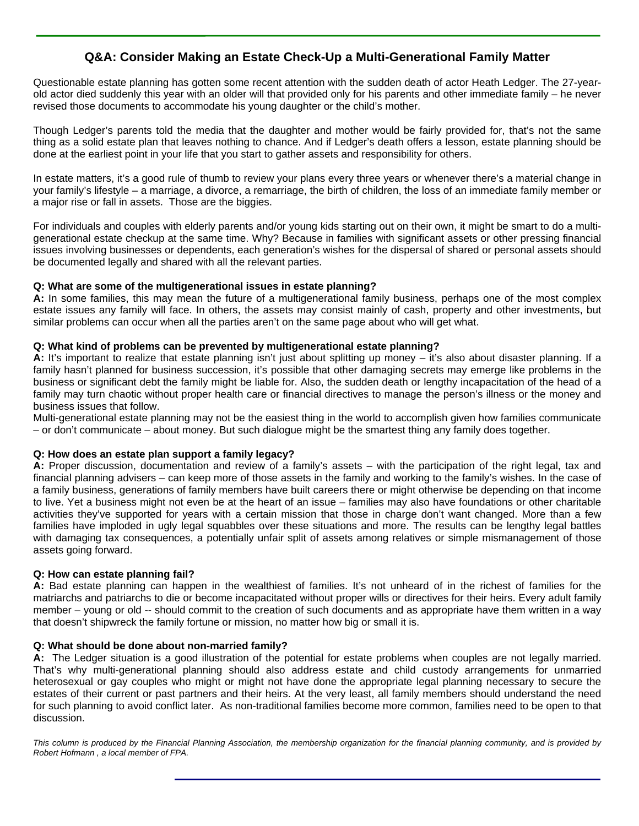#### **Q&A: Consider Making an Estate Check-Up a Multi-Generational Family Matter**

 Questionable estate planning has gotten some recent attention with the sudden death of actor Heath Ledger. The 27-yearold actor died suddenly this year with an older will that provided only for his parents and other immediate family – he never revised those documents to accommodate his young daughter or the child's mother.

Though Ledger's parents told the media that the daughter and mother would be fairly provided for, that's not the same thing as a solid estate plan that leaves nothing to chance. And if Ledger's death offers a lesson, estate planning should be done at the earliest point in your life that you start to gather assets and responsibility for others.

In estate matters, it's a good rule of thumb to review your plans every three years or whenever there's a material change in your family's lifestyle – a marriage, a divorce, a remarriage, the birth of children, the loss of an immediate family member or a major rise or fall in assets. Those are the biggies.

For individuals and couples with elderly parents and/or young kids starting out on their own, it might be smart to do a multigenerational estate checkup at the same time. Why? Because in families with significant assets or other pressing financial issues involving businesses or dependents, each generation's wishes for the dispersal of shared or personal assets should be documented legally and shared with all the relevant parties.

#### **Q: What are some of the multigenerational issues in estate planning?**

**A:** In some families, this may mean the future of a multigenerational family business, perhaps one of the most complex estate issues any family will face. In others, the assets may consist mainly of cash, property and other investments, but similar problems can occur when all the parties aren't on the same page about who will get what.

#### **Q: What kind of problems can be prevented by multigenerational estate planning?**

**A:** It's important to realize that estate planning isn't just about splitting up money – it's also about disaster planning. If a family hasn't planned for business succession, it's possible that other damaging secrets may emerge like problems in the business or significant debt the family might be liable for. Also, the sudden death or lengthy incapacitation of the head of a family may turn chaotic without proper health care or financial directives to manage the person's illness or the money and business issues that follow.

Multi-generational estate planning may not be the easiest thing in the world to accomplish given how families communicate – or don't communicate – about money. But such dialogue might be the smartest thing any family does together.

#### **Q: How does an estate plan support a family legacy?**

**A:** Proper discussion, documentation and review of a family's assets – with the participation of the right legal, tax and financial planning advisers – can keep more of those assets in the family and working to the family's wishes. In the case of a family business, generations of family members have built careers there or might otherwise be depending on that income to live. Yet a business might not even be at the heart of an issue – families may also have foundations or other charitable activities they've supported for years with a certain mission that those in charge don't want changed. More than a few families have imploded in ugly legal squabbles over these situations and more. The results can be lengthy legal battles with damaging tax consequences, a potentially unfair split of assets among relatives or simple mismanagement of those assets going forward.

#### **Q: How can estate planning fail?**

**A:** Bad estate planning can happen in the wealthiest of families. It's not unheard of in the richest of families for the matriarchs and patriarchs to die or become incapacitated without proper wills or directives for their heirs. Every adult family member – young or old -- should commit to the creation of such documents and as appropriate have them written in a way that doesn't shipwreck the family fortune or mission, no matter how big or small it is.

#### **Q: What should be done about non-married family?**

**A:** The Ledger situation is a good illustration of the potential for estate problems when couples are not legally married. That's why multi-generational planning should also address estate and child custody arrangements for unmarried heterosexual or gay couples who might or might not have done the appropriate legal planning necessary to secure the estates of their current or past partners and their heirs. At the very least, all family members should understand the need for such planning to avoid conflict later. As non-traditional families become more common, families need to be open to that discussion.

*This column is produced by the Financial Planning Association, the membership organization for the financial planning community, and is provided by Robert Hofmann , a local member of FPA.*